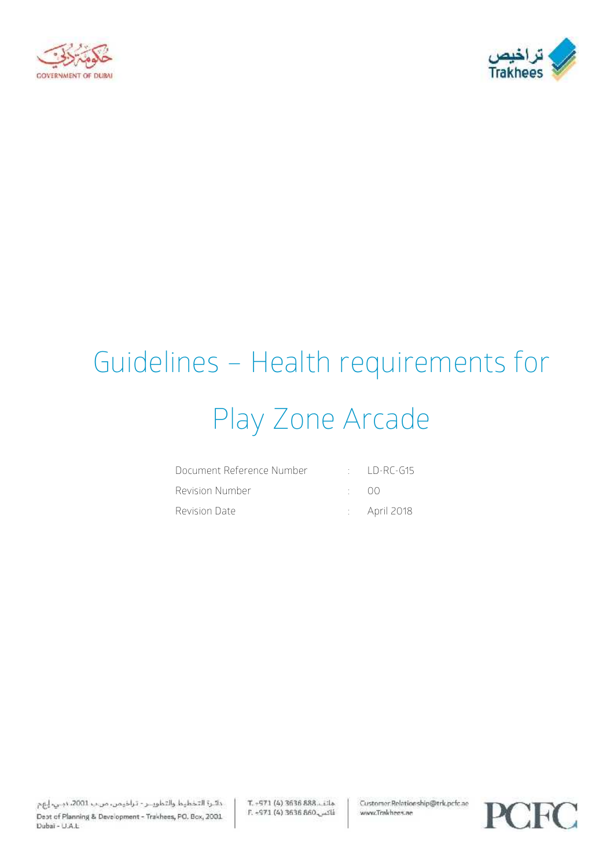



# Guidelines – Health requirements for Play Zone Arcade

| Document Reference Number |              | $\Box$ ID-RC-G15        |
|---------------------------|--------------|-------------------------|
| Revision Number           | $\cdot$ ()() |                         |
| Revision Date             |              | $\therefore$ April 2018 |

دائرة التخطيط والتطويــر - تراخيمن، من ب 2001، دبـي، إيهم Dept of Planning & Development - Trakhees, PO. Box, 2001 Dubai - U.A.L.

T. - 971 (4) 3636 888. Lila E. -971 (4) 3636 860 Customer.Relationship@trk.pcfc.ae www.Trakhees.ae

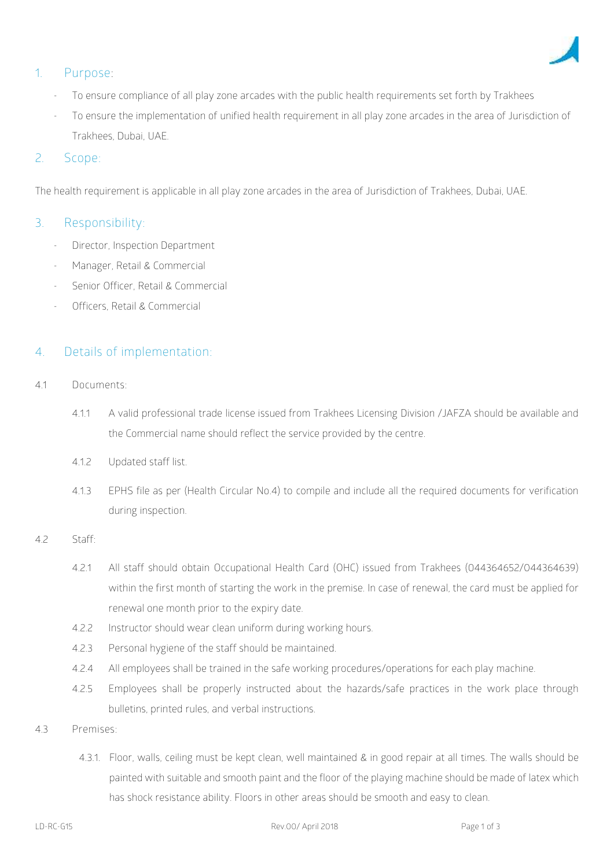

# **1. Purpose:**

- To ensure compliance of all play zone arcades with the public health requirements set forth by Trakhees
- To ensure the implementation of unified health requirement in all play zone arcades in the area of Jurisdiction of Trakhees, Dubai, UAE.

# 2. **Scope**:

The health requirement is applicable in all play zone arcades in the area of Jurisdiction of Trakhees, Dubai, UAE.

### **3. Responsibility:**

- Director, Inspection Department
- Manager, Retail & Commercial
- Senior Officer, Retail & Commercial
- Officers, Retail & Commercial

## **4. Details of implementation**:

- 4.1 **Documents:**
	- 4.1.1 A valid professional trade license issued from Trakhees Licensing Division /JAFZA should be available and the Commercial name should reflect the service provided by the centre.
	- 4.1.2 Updated staff list.
	- 4.1.3 EPHS file as per (Health Circular No.4) to compile and include all the required documents for verification during inspection.

#### 4.2 Staff:

- 4.2.1 All staff should obtain Occupational Health Card (OHC) issued from Trakhees (044364652/044364639) within the first month of starting the work in the premise. In case of renewal, the card must be applied for renewal one month prior to the expiry date.
- 4.2.2 Instructor should wear clean uniform during working hours.
- 4.2.3 Personal hygiene of the staff should be maintained.
- 4.2.4 All employees shall be trained in the safe working procedures/operations for each play machine.
- 4.2.5 Employees shall be properly instructed about the hazards/safe practices in the work place through bulletins, printed rules, and verbal instructions.
- 4.3 **Premises:**
	- 4.3.1. Floor, walls, ceiling must be kept clean, well maintained & in good repair at all times. The walls should be painted with suitable and smooth paint and the floor of the playing machine should be made of latex which has shock resistance ability. Floors in other areas should be smooth and easy to clean.